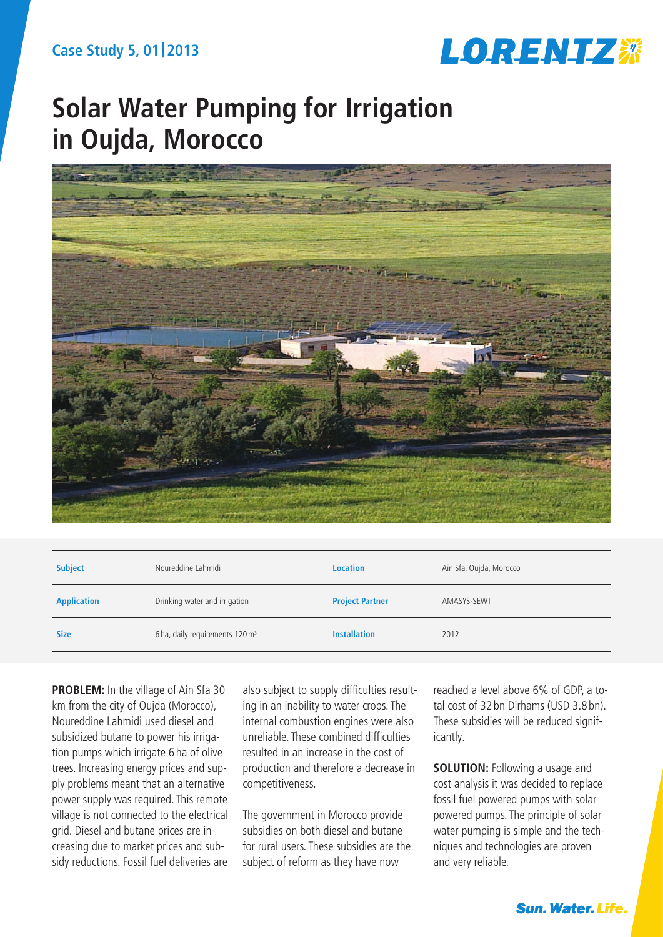

# **Solar Water Pumping for Irrigation in Oujda, Morocco**



| <b>Subject</b>     | Noureddine Lahmidi                          | <b>Location</b>        | Ain Sfa, Oujda, Morocco |
|--------------------|---------------------------------------------|------------------------|-------------------------|
| <b>Application</b> | Drinking water and irrigation               | <b>Project Partner</b> | AMASYS-SEWT             |
| <b>Size</b>        | 6 ha, daily requirements 120 m <sup>3</sup> | <b>Installation</b>    | 2012                    |

**PROBLEM:** In the village of Ain Sfa 30 km from the city of Oujda (Morocco), Noureddine Lahmidi used diesel and subsidized butane to power his irrigation pumps which irrigate 6 ha of olive trees. Increasing energy prices and supply problems meant that an alternative power supply was required. This remote village is not connected to the electrical grid. Diesel and butane prices are increasing due to market prices and subsidy reductions. Fossil fuel deliveries are

also subject to supply difficulties resulting in an inability to water crops. The internal combustion engines were also unreliable. These combined difficulties resulted in an increase in the cost of production and therefore a decrease in competitiveness.

The government in Morocco provide subsidies on both diesel and butane for rural users. These subsidies are the subject of reform as they have now

reached a level above 6% of GDP, a total cost of 32 bn Dirhams (USD 3.8 bn). These subsidies will be reduced significantly.

**SOLUTION:** Following a usage and cost analysis it was decided to replace fossil fuel powered pumps with solar powered pumps. The principle of solar water pumping is simple and the techniques and technologies are proven and very reliable.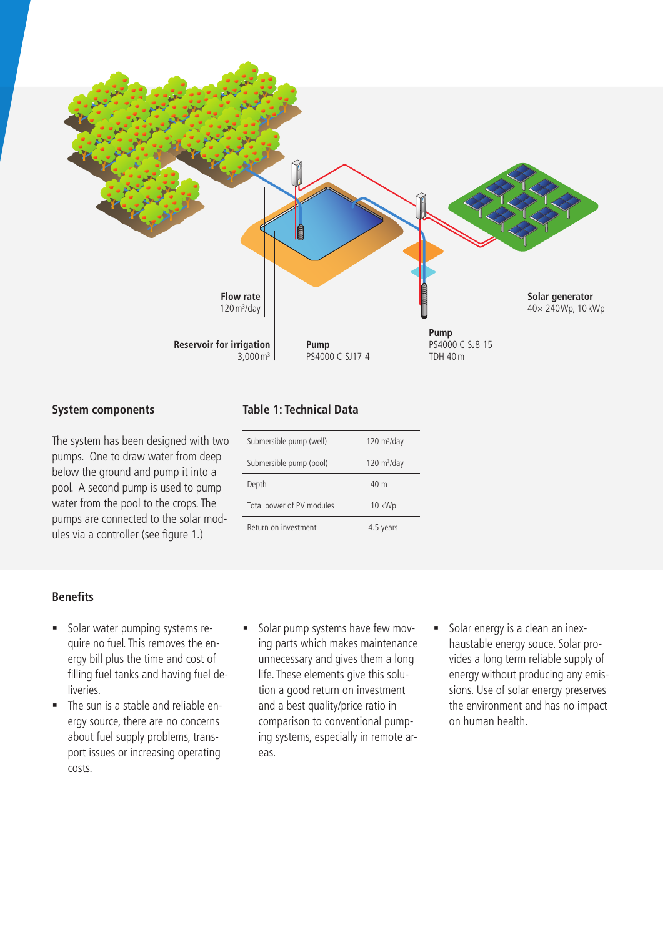

#### **System components**

The system has been designed with two pumps. One to draw water from deep below the ground and pump it into a pool. A second pump is used to pump water from the pool to the crops. The pumps are connected to the solar modules via a controller (see figure 1.)

#### **Table 1: Technical Data**

| Submersible pump (well)   | $120 \text{ m}^3/\text{day}$ |  |
|---------------------------|------------------------------|--|
| Submersible pump (pool)   | $120 \text{ m}^3/\text{day}$ |  |
| Depth                     | 40 <sub>m</sub>              |  |
| Total power of PV modules | 10 kWp                       |  |
| Return on investment      | 4.5 years                    |  |

#### **Benefits**

- Solar water pumping systems require no fuel. This removes the energy bill plus the time and cost of filling fuel tanks and having fuel deliveries.
- The sun is a stable and reliable energy source, there are no concerns about fuel supply problems, transport issues or increasing operating costs.
- Solar pump systems have few moving parts which makes maintenance unnecessary and gives them a long life. These elements give this solution a good return on investment and a best quality/price ratio in comparison to conventional pumping systems, especially in remote areas.
- Solar energy is a clean an inexhaustable energy souce. Solar provides a long term reliable supply of energy without producing any emissions. Use of solar energy preserves the environment and has no impact on human health.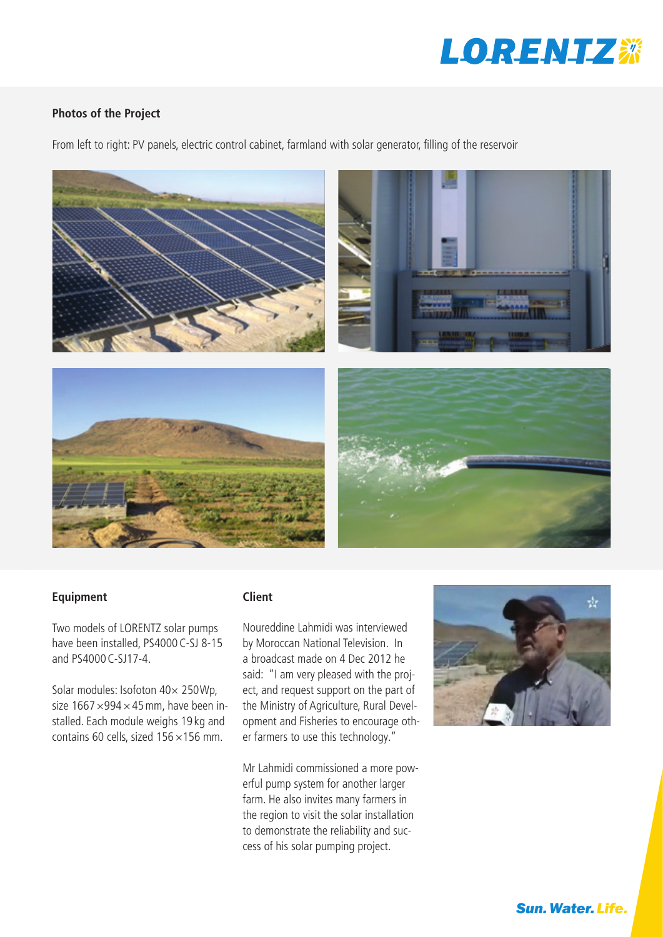

## **Photos of the Project**

From left to right: PV panels, electric control cabinet, farmland with solar generator, filling of the reservoir



## **Equipment**

Two models of LORENTZ solar pumps have been installed, PS4000C-SJ 8-15 and PS4000C-SJ17-4.

Solar modules: Isofoton 40× 250Wp, size  $1667 \times 994 \times 45$  mm, have been installed. Each module weighs 19 kg and contains 60 cells, sized  $156 \times 156$  mm.

## **Client**

Noureddine Lahmidi was interviewed by Moroccan National Television. In a broadcast made on 4 Dec 2012 he said: "I am very pleased with the project, and request support on the part of the Ministry of Agriculture, Rural Development and Fisheries to encourage other farmers to use this technology."

Mr Lahmidi commissioned a more powerful pump system for another larger farm. He also invites many farmers in the region to visit the solar installation to demonstrate the reliability and success of his solar pumping project.



**Sun. Water. Life.**